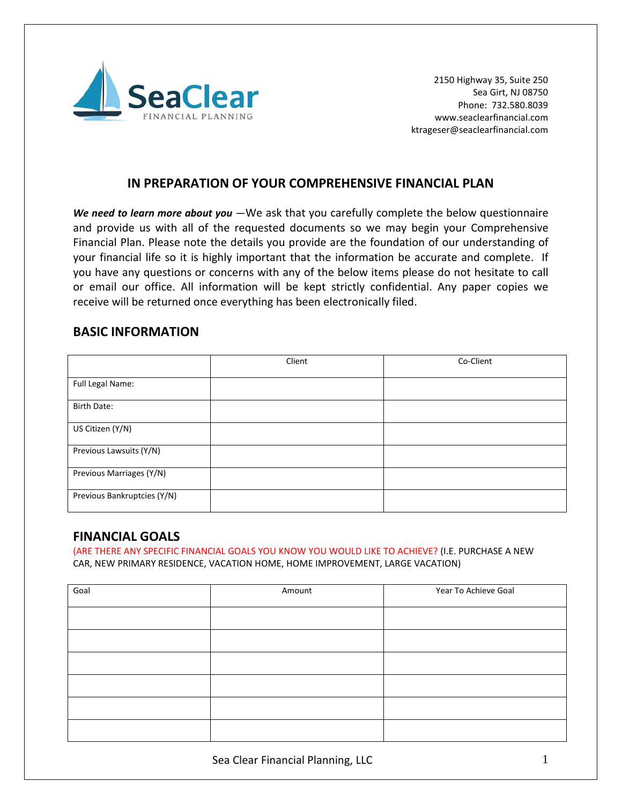

### **IN PREPARATION OF YOUR COMPREHENSIVE FINANCIAL PLAN**

*We need to learn more about you* -We ask that you carefully complete the below questionnaire and provide us with all of the requested documents so we may begin your Comprehensive Financial Plan. Please note the details you provide are the foundation of our understanding of your financial life so it is highly important that the information be accurate and complete. If you have any questions or concerns with any of the below items please do not hesitate to call or email our office. All information will be kept strictly confidential. Any paper copies we receive will be returned once everything has been electronically filed.

### **BASIC INFORMATION**

|                             | Client | Co-Client |
|-----------------------------|--------|-----------|
| Full Legal Name:            |        |           |
| Birth Date:                 |        |           |
| US Citizen (Y/N)            |        |           |
| Previous Lawsuits (Y/N)     |        |           |
| Previous Marriages (Y/N)    |        |           |
| Previous Bankruptcies (Y/N) |        |           |

#### **FINANCIAL GOALS**

(ARE THERE ANY SPECIFIC FINANCIAL GOALS YOU KNOW YOU WOULD LIKE TO ACHIEVE? (I.E. PURCHASE A NEW CAR, NEW PRIMARY RESIDENCE, VACATION HOME, HOME IMPROVEMENT, LARGE VACATION)

| Goal | Amount | Year To Achieve Goal |
|------|--------|----------------------|
|      |        |                      |
|      |        |                      |
|      |        |                      |
|      |        |                      |
|      |        |                      |
|      |        |                      |
|      |        |                      |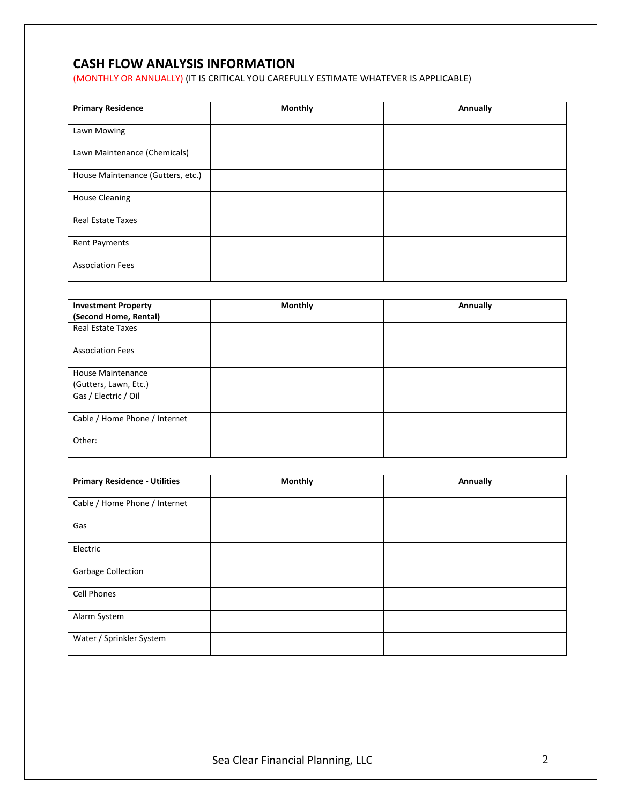# **CASH FLOW ANALYSIS INFORMATION**

(MONTHLY OR ANNUALLY) (IT IS CRITICAL YOU CAREFULLY ESTIMATE WHATEVER IS APPLICABLE)

| <b>Primary Residence</b>          | <b>Monthly</b> | Annually |
|-----------------------------------|----------------|----------|
| Lawn Mowing                       |                |          |
| Lawn Maintenance (Chemicals)      |                |          |
| House Maintenance (Gutters, etc.) |                |          |
| <b>House Cleaning</b>             |                |          |
| Real Estate Taxes                 |                |          |
| <b>Rent Payments</b>              |                |          |
| <b>Association Fees</b>           |                |          |

| <b>Investment Property</b><br>(Second Home, Rental) | <b>Monthly</b> | Annually |
|-----------------------------------------------------|----------------|----------|
| <b>Real Estate Taxes</b>                            |                |          |
|                                                     |                |          |
| <b>Association Fees</b>                             |                |          |
|                                                     |                |          |
| <b>House Maintenance</b>                            |                |          |
| (Gutters, Lawn, Etc.)                               |                |          |
| Gas / Electric / Oil                                |                |          |
|                                                     |                |          |
| Cable / Home Phone / Internet                       |                |          |
|                                                     |                |          |
| Other:                                              |                |          |
|                                                     |                |          |

| <b>Primary Residence - Utilities</b> | <b>Monthly</b> | Annually |
|--------------------------------------|----------------|----------|
| Cable / Home Phone / Internet        |                |          |
| Gas                                  |                |          |
| Electric                             |                |          |
| Garbage Collection                   |                |          |
| Cell Phones                          |                |          |
| Alarm System                         |                |          |
| Water / Sprinkler System             |                |          |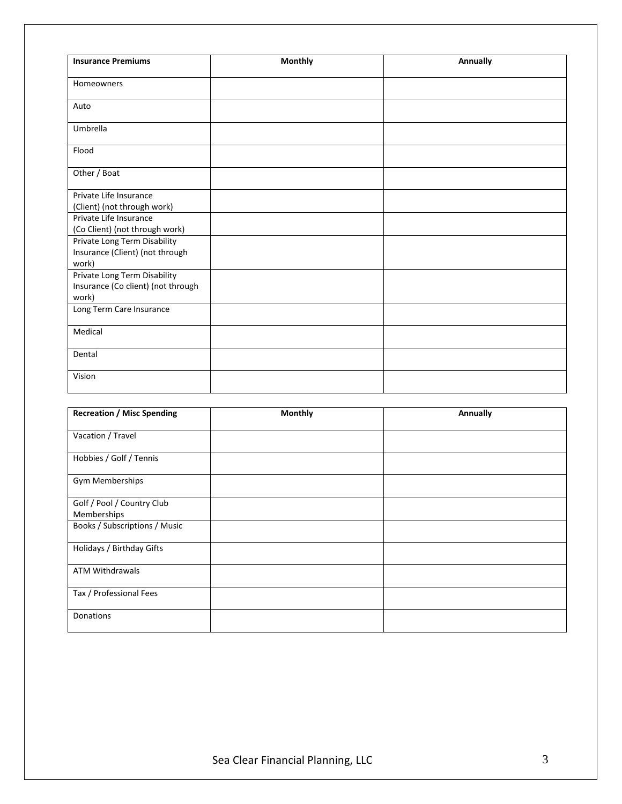| <b>Insurance Premiums</b>                                                   | <b>Monthly</b> | <b>Annually</b> |
|-----------------------------------------------------------------------------|----------------|-----------------|
| Homeowners                                                                  |                |                 |
| Auto                                                                        |                |                 |
| Umbrella                                                                    |                |                 |
| Flood                                                                       |                |                 |
| Other / Boat                                                                |                |                 |
| Private Life Insurance<br>(Client) (not through work)                       |                |                 |
| Private Life Insurance<br>(Co Client) (not through work)                    |                |                 |
| Private Long Term Disability<br>Insurance (Client) (not through<br>work)    |                |                 |
| Private Long Term Disability<br>Insurance (Co client) (not through<br>work) |                |                 |
| Long Term Care Insurance                                                    |                |                 |
| Medical                                                                     |                |                 |
| Dental                                                                      |                |                 |
| Vision                                                                      |                |                 |

| <b>Recreation / Misc Spending</b>         | <b>Monthly</b> | Annually |
|-------------------------------------------|----------------|----------|
| Vacation / Travel                         |                |          |
| Hobbies / Golf / Tennis                   |                |          |
| <b>Gym Memberships</b>                    |                |          |
| Golf / Pool / Country Club<br>Memberships |                |          |
| Books / Subscriptions / Music             |                |          |
| Holidays / Birthday Gifts                 |                |          |
| ATM Withdrawals                           |                |          |
| Tax / Professional Fees                   |                |          |
| Donations                                 |                |          |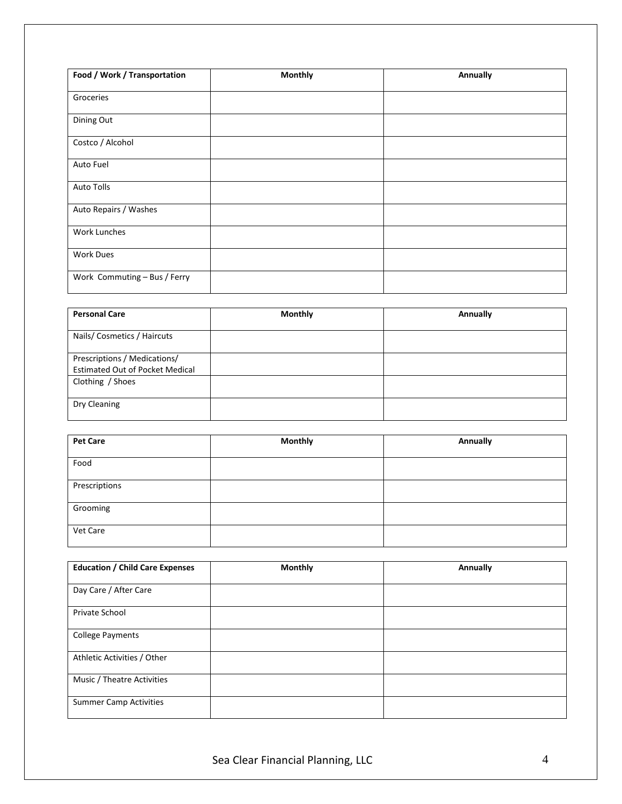| Food / Work / Transportation | <b>Monthly</b> | Annually |
|------------------------------|----------------|----------|
| Groceries                    |                |          |
| Dining Out                   |                |          |
| Costco / Alcohol             |                |          |
| Auto Fuel                    |                |          |
| Auto Tolls                   |                |          |
| Auto Repairs / Washes        |                |          |
| Work Lunches                 |                |          |
| <b>Work Dues</b>             |                |          |
| Work Commuting - Bus / Ferry |                |          |

| <b>Personal Care</b>                                                   | <b>Monthly</b> | Annually |
|------------------------------------------------------------------------|----------------|----------|
| Nails/Cosmetics / Haircuts                                             |                |          |
| Prescriptions / Medications/<br><b>Estimated Out of Pocket Medical</b> |                |          |
| Clothing / Shoes                                                       |                |          |
| Dry Cleaning                                                           |                |          |

| <b>Pet Care</b> | <b>Monthly</b> | Annually |
|-----------------|----------------|----------|
| Food            |                |          |
| Prescriptions   |                |          |
| Grooming        |                |          |
| Vet Care        |                |          |

| <b>Education / Child Care Expenses</b> | <b>Monthly</b> | Annually |
|----------------------------------------|----------------|----------|
| Day Care / After Care                  |                |          |
| Private School                         |                |          |
| <b>College Payments</b>                |                |          |
| Athletic Activities / Other            |                |          |
| Music / Theatre Activities             |                |          |
| <b>Summer Camp Activities</b>          |                |          |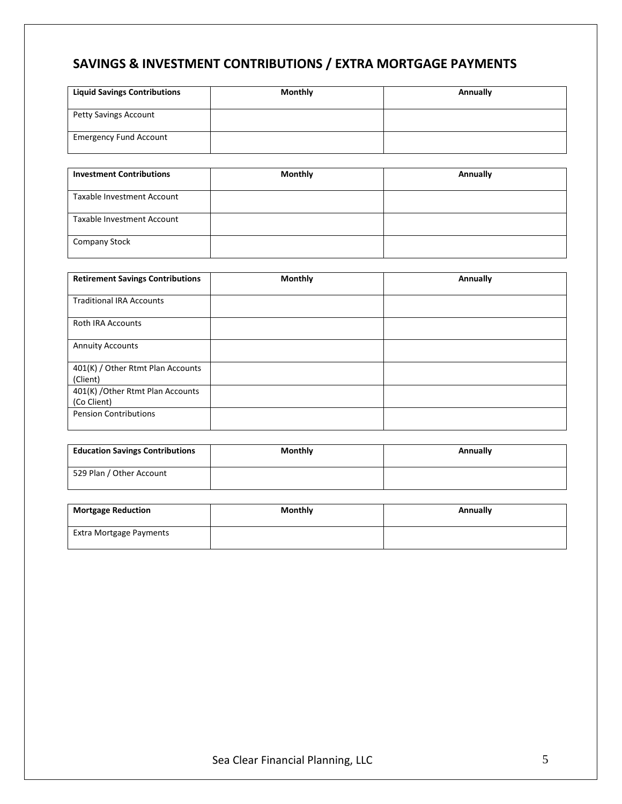# **SAVINGS & INVESTMENT CONTRIBUTIONS / EXTRA MORTGAGE PAYMENTS**

| <b>Liquid Savings Contributions</b> | <b>Monthly</b> | Annually |
|-------------------------------------|----------------|----------|
| Petty Savings Account               |                |          |
| <b>Emergency Fund Account</b>       |                |          |

| <b>Investment Contributions</b> | <b>Monthly</b> | Annually |
|---------------------------------|----------------|----------|
| Taxable Investment Account      |                |          |
| Taxable Investment Account      |                |          |
| <b>Company Stock</b>            |                |          |

| <b>Retirement Savings Contributions</b>          | <b>Monthly</b> | Annually |
|--------------------------------------------------|----------------|----------|
| <b>Traditional IRA Accounts</b>                  |                |          |
| <b>Roth IRA Accounts</b>                         |                |          |
| <b>Annuity Accounts</b>                          |                |          |
| 401(K) / Other Rtmt Plan Accounts<br>(Client)    |                |          |
| 401(K) / Other Rtmt Plan Accounts<br>(Co Client) |                |          |
| <b>Pension Contributions</b>                     |                |          |

| <b>Education Savings Contributions</b> | <b>Monthly</b> | Annually |
|----------------------------------------|----------------|----------|
| 529 Plan / Other Account               |                |          |

| <b>Mortgage Reduction</b> | <b>Monthly</b> | Annually |
|---------------------------|----------------|----------|
| Extra Mortgage Payments   |                |          |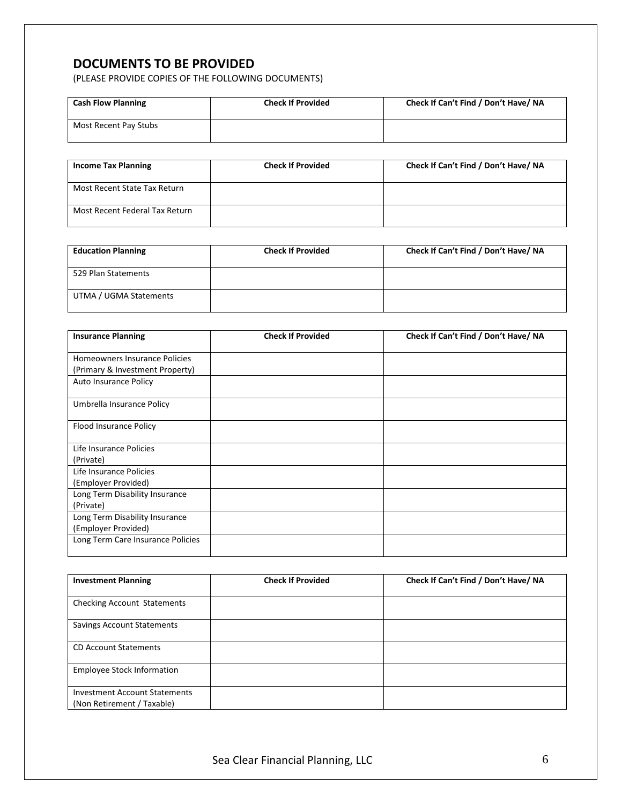# **DOCUMENTS TO BE PROVIDED**

(PLEASE PROVIDE COPIES OF THE FOLLOWING DOCUMENTS)

| <b>Cash Flow Planning</b> | <b>Check If Provided</b> | Check If Can't Find / Don't Have/ NA |
|---------------------------|--------------------------|--------------------------------------|
| Most Recent Pay Stubs     |                          |                                      |

| <b>Income Tax Planning</b>     | <b>Check If Provided</b> | Check If Can't Find / Don't Have/ NA |
|--------------------------------|--------------------------|--------------------------------------|
| Most Recent State Tax Return   |                          |                                      |
| Most Recent Federal Tax Return |                          |                                      |

| <b>Education Planning</b> | <b>Check If Provided</b> | Check If Can't Find / Don't Have/ NA |
|---------------------------|--------------------------|--------------------------------------|
| 529 Plan Statements       |                          |                                      |
| UTMA / UGMA Statements    |                          |                                      |

| <b>Insurance Planning</b>         | <b>Check If Provided</b> | Check If Can't Find / Don't Have/ NA |
|-----------------------------------|--------------------------|--------------------------------------|
| Homeowners Insurance Policies     |                          |                                      |
| (Primary & Investment Property)   |                          |                                      |
| Auto Insurance Policy             |                          |                                      |
| Umbrella Insurance Policy         |                          |                                      |
| Flood Insurance Policy            |                          |                                      |
| Life Insurance Policies           |                          |                                      |
| (Private)                         |                          |                                      |
| Life Insurance Policies           |                          |                                      |
| (Employer Provided)               |                          |                                      |
| Long Term Disability Insurance    |                          |                                      |
| (Private)                         |                          |                                      |
| Long Term Disability Insurance    |                          |                                      |
| (Employer Provided)               |                          |                                      |
| Long Term Care Insurance Policies |                          |                                      |
|                                   |                          |                                      |

| <b>Investment Planning</b>                                         | <b>Check If Provided</b> | Check If Can't Find / Don't Have/ NA |
|--------------------------------------------------------------------|--------------------------|--------------------------------------|
|                                                                    |                          |                                      |
| <b>Checking Account Statements</b>                                 |                          |                                      |
| <b>Savings Account Statements</b>                                  |                          |                                      |
| <b>CD Account Statements</b>                                       |                          |                                      |
| <b>Employee Stock Information</b>                                  |                          |                                      |
| <b>Investment Account Statements</b><br>(Non Retirement / Taxable) |                          |                                      |